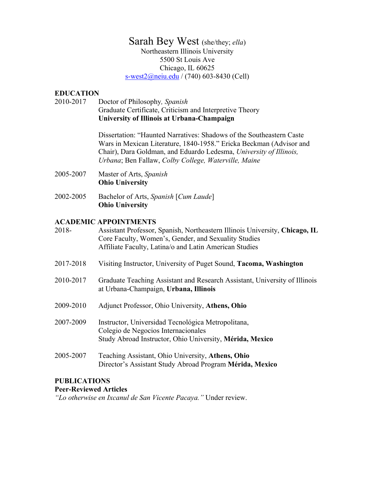Sarah Bey West (she/they; *ella*) Northeastern Illinois University 5500 St Louis Ave Chicago, IL 60625 s-west2@neiu.edu / (740) 603-8430 (Cell)

# **EDUCATION**

2010-2017 Doctor of Philosophy*, Spanish* Graduate Certificate, Criticism and Interpretive Theory **University of Illinois at Urbana-Champaign**

> Dissertation: "Haunted Narratives: Shadows of the Southeastern Caste Wars in Mexican Literature, 1840-1958." Ericka Beckman (Advisor and Chair), Dara Goldman, and Eduardo Ledesma, *University of Illinois, Urbana*; Ben Fallaw, *Colby College, Waterville, Maine*

- 2005-2007 Master of Arts, *Spanish* **Ohio University**
- 2002-2005 Bachelor of Arts, *Spanish* [*Cum Laude*] **Ohio University**

## **ACADEMIC APPOINTMENTS**

| 2018-     | Assistant Professor, Spanish, Northeastern Illinois University, Chicago, IL<br>Core Faculty, Women's, Gender, and Sexuality Studies<br>Affiliate Faculty, Latina/o and Latin American Studies |
|-----------|-----------------------------------------------------------------------------------------------------------------------------------------------------------------------------------------------|
| 2017-2018 | Visiting Instructor, University of Puget Sound, Tacoma, Washington                                                                                                                            |
| 2010-2017 | Graduate Teaching Assistant and Research Assistant, University of Illinois<br>at Urbana-Champaign, Urbana, Illinois                                                                           |
| 2009-2010 | Adjunct Professor, Ohio University, Athens, Ohio                                                                                                                                              |
| 2007-2009 | Instructor, Universidad Tecnológica Metropolitana,<br>Colegio de Negocios Internacionales<br>Study Abroad Instructor, Ohio University, Mérida, Mexico                                         |
| 2005-2007 | Teaching Assistant, Ohio University, Athens, Ohio<br>Director's Assistant Study Abroad Program Mérida, Mexico                                                                                 |

# **PUBLICATIONS**

**Peer-Reviewed Articles**

*"Lo otherwise en Ixcanul de San Vicente Pacaya."* Under review.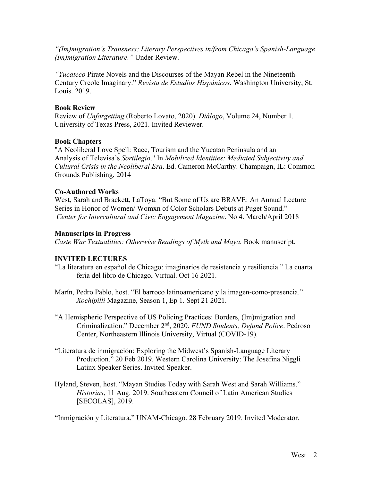*"(Im)migration's Transness: Literary Perspectives in/from Chicago's Spanish-Language (Im)migration Literature."* Under Review.

*"Yucateco* Pirate Novels and the Discourses of the Mayan Rebel in the Nineteenth-Century Creole Imaginary." *Revista de Estudios Hispánicos*. Washington University, St. Louis. 2019.

#### **Book Review**

Review of *Unforgetting* (Roberto Lovato, 2020). *Diálogo*, Volume 24, Number 1. University of Texas Press, 2021. Invited Reviewer.

#### **Book Chapters**

"A Neoliberal Love Spell: Race, Tourism and the Yucatan Peninsula and an Analysis of Televisa's *Sortilegio*." In *Mobilized Identities: Mediated Subjectivity and Cultural Crisis in the Neoliberal Era*. Ed. Cameron McCarthy. Champaign, IL: Common Grounds Publishing, 2014

#### **Co-Authored Works**

West, Sarah and Brackett, LaToya. "But Some of Us are BRAVE: An Annual Lecture Series in Honor of Women/ Womxn of Color Scholars Debuts at Puget Sound." *Center for Intercultural and Civic Engagement Magazine*. No 4. March/April 2018

#### **Manuscripts in Progress**

*Caste War Textualities: Otherwise Readings of Myth and Maya.* Book manuscript.

#### **INVITED LECTURES**

- "La literatura en español de Chicago: imaginarios de resistencia y resiliencia." La cuarta feria del libro de Chicago, Virtual. Oct 16 2021.
- Marín, Pedro Pablo, host. "El barroco latinoamericano y la imagen-como-presencia." *Xochipilli* Magazine, Season 1, Ep 1. Sept 21 2021.
- "A Hemispheric Perspective of US Policing Practices: Borders, (Im)migration and Criminalization." December 2nd, 2020. *FUND Students, Defund Police*. Pedroso Center, Northeastern Illinois University, Virtual (COVID-19).
- "Literatura de inmigración: Exploring the Midwest's Spanish-Language Literary Production." 20 Feb 2019. Western Carolina University: The Josefina Niggli Latinx Speaker Series. Invited Speaker.
- Hyland, Steven, host. "Mayan Studies Today with Sarah West and Sarah Williams." *Historias*, 11 Aug. 2019. Southeastern Council of Latin American Studies [SECOLAS], 2019.

"Inmigración y Literatura." UNAM-Chicago. 28 February 2019. Invited Moderator.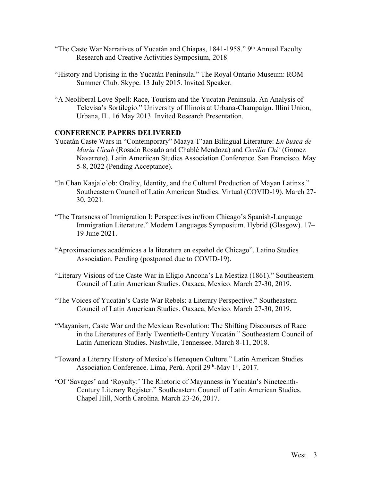- "The Caste War Narratives of Yucatán and Chiapas,  $1841-1958$ ." 9<sup>th</sup> Annual Faculty Research and Creative Activities Symposium, 2018
- "History and Uprising in the Yucatán Peninsula." The Royal Ontario Museum: ROM Summer Club. Skype. 13 July 2015. Invited Speaker.
- "A Neoliberal Love Spell: Race, Tourism and the Yucatan Peninsula. An Analysis of Televisa's Sortilegio." University of Illinois at Urbana-Champaign. Illini Union, Urbana, IL. 16 May 2013. Invited Research Presentation.

#### **CONFERENCE PAPERS DELIVERED**

- Yucatán Caste Wars in "Contemporary" Maaya T'aan Bilingual Literature: *En busca de María Uicab* (Rosado Rosado and Chablé Mendoza) and *Cecilio Chi'* (Gomez Navarrete). Latin Ameriican Studies Association Conference. San Francisco. May 5-8, 2022 (Pending Acceptance).
- "In Chan Kaajalo'ob: Orality, Identity, and the Cultural Production of Mayan Latinxs." Southeastern Council of Latin American Studies. Virtual (COVID-19). March 27- 30, 2021.
- "The Transness of Immigration I: Perspectives in/from Chicago's Spanish-Language Immigration Literature." Modern Languages Symposium. Hybrid (Glasgow). 17– 19 June 2021.
- "Aproximaciones académicas a la literatura en español de Chicago". Latino Studies Association. Pending (postponed due to COVID-19).
- "Literary Visions of the Caste War in Eligio Ancona's La Mestiza (1861)." Southeastern Council of Latin American Studies. Oaxaca, Mexico. March 27-30, 2019.
- "The Voices of Yucatán's Caste War Rebels: a Literary Perspective." Southeastern Council of Latin American Studies. Oaxaca, Mexico. March 27-30, 2019.
- "Mayanism, Caste War and the Mexican Revolution: The Shifting Discourses of Race in the Literatures of Early Twentieth-Century Yucatán." Southeastern Council of Latin American Studies. Nashville, Tennessee. March 8-11, 2018.
- "Toward a Literary History of Mexico's Henequen Culture." Latin American Studies Association Conference. Lima, Perú. April 29<sup>th</sup>-May 1<sup>st</sup>, 2017.
- "Of 'Savages' and 'Royalty:' The Rhetoric of Mayanness in Yucatán's Nineteenth-Century Literary Register." Southeastern Council of Latin American Studies. Chapel Hill, North Carolina. March 23-26, 2017.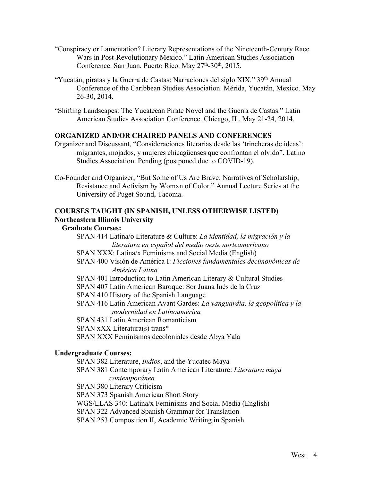- "Conspiracy or Lamentation? Literary Representations of the Nineteenth-Century Race Wars in Post-Revolutionary Mexico." Latin American Studies Association Conference. San Juan, Puerto Rico. May  $27<sup>th</sup>$ -30<sup>th</sup>, 2015.
- "Yucatán, piratas y la Guerra de Castas: Narraciones del siglo XIX." 39<sup>th</sup> Annual Conference of the Caribbean Studies Association. Mérida, Yucatán, Mexico. May 26-30, 2014.
- "Shifting Landscapes: The Yucatecan Pirate Novel and the Guerra de Castas." Latin American Studies Association Conference. Chicago, IL. May 21-24, 2014.

#### **ORGANIZED AND/OR CHAIRED PANELS AND CONFERENCES**

- Organizer and Discussant, "Consideraciones literarias desde las 'trincheras de ideas': migrantes, mojados, y mujeres chicagüenses que confrontan el olvido". Latino Studies Association. Pending (postponed due to COVID-19).
- Co-Founder and Organizer, "But Some of Us Are Brave: Narratives of Scholarship, Resistance and Activism by Womxn of Color." Annual Lecture Series at the University of Puget Sound, Tacoma.

# **COURSES TAUGHT (IN SPANISH, UNLESS OTHERWISE LISTED) Northeastern Illinois University**

#### **Graduate Courses:**

SPAN 414 Latina/o Literature & Culture: *La identidad, la migración y la literatura en español del medio oeste norteamericano* SPAN XXX: Latina/x Feminisms and Social Media (English) SPAN 400 Visión de América I: *Ficciones fundamentales decimonónicas de América Latina* SPAN 401 Introduction to Latin American Literary & Cultural Studies SPAN 407 Latin American Baroque: Sor Juana Inés de la Cruz SPAN 410 History of the Spanish Language SPAN 416 Latin American Avant Gardes: *La vanguardia, la geopolítica y la modernidad en Latinoamérica* SPAN 431 Latin American Romanticism SPAN xXX Literatura(s) trans\* SPAN XXX Feminismos decoloniales desde Abya Yala

## **Undergraduate Courses:**

SPAN 382 Literature, *Indios*, and the Yucatec Maya SPAN 381 Contemporary Latin American Literature: *Literatura maya contemporánea* SPAN 380 Literary Criticism SPAN 373 Spanish American Short Story WGS/LLAS 340: Latina/x Feminisms and Social Media (English) SPAN 322 Advanced Spanish Grammar for Translation SPAN 253 Composition II, Academic Writing in Spanish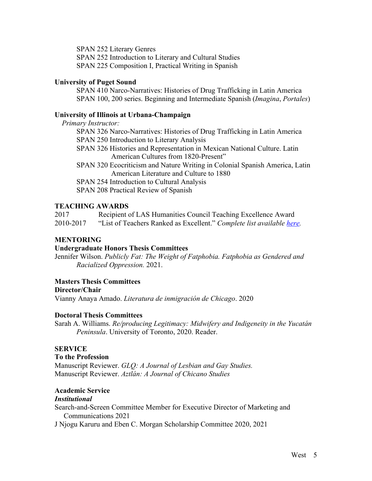SPAN 252 Literary Genres SPAN 252 Introduction to Literary and Cultural Studies SPAN 225 Composition I, Practical Writing in Spanish

## **University of Puget Sound**

SPAN 410 Narco-Narratives: Histories of Drug Trafficking in Latin America SPAN 100, 200 series. Beginning and Intermediate Spanish (*Imagina*, *Portales*)

## **University of Illinois at Urbana-Champaign**

#### *Primary Instructor:*

SPAN 326 Narco-Narratives: Histories of Drug Trafficking in Latin America SPAN 250 Introduction to Literary Analysis

- SPAN 326 Histories and Representation in Mexican National Culture. Latin American Cultures from 1820-Present"
- SPAN 320 Ecocriticism and Nature Writing in Colonial Spanish America, Latin American Literature and Culture to 1880
- SPAN 254 Introduction to Cultural Analysis

SPAN 208 Practical Review of Spanish

## **TEACHING AWARDS**

| 2017      | Recipient of LAS Humanities Council Teaching Excellence Award         |
|-----------|-----------------------------------------------------------------------|
| 2010-2017 | "List of Teachers Ranked as Excellent." Complete list available here. |

# **MENTORING**

## **Undergraduate Honors Thesis Committees**

Jennifer Wilson. *Publicly Fat: The Weight of Fatphobia. Fatphobia as Gendered and Racialized Oppression.* 2021.

## **Masters Thesis Committees**

**Director/Chair** Vianny Anaya Amado. *Literatura de inmigración de Chicago*. 2020

## **Doctoral Thesis Committees**

Sarah A. Williams. *Re/producing Legitimacy: Midwifery and Indigeneity in the Yucatán Peninsula*. University of Toronto, 2020. Reader.

# **SERVICE**

## **To the Profession**

Manuscript Reviewer. *GLQ: A Journal of Lesbian and Gay Studies.* Manuscript Reviewer. *Aztlán: A Journal of Chicano Studies*

# **Academic Service**

## *Institutional*

Search-and-Screen Committee Member for Executive Director of Marketing and Communications 2021

J Njogu Karuru and Eben C. Morgan Scholarship Committee 2020, 2021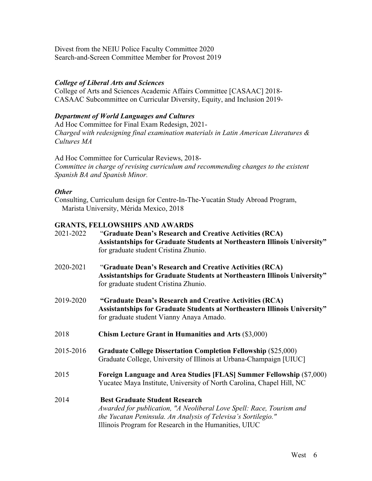Divest from the NEIU Police Faculty Committee 2020 Search-and-Screen Committee Member for Provost 2019

## *College of Liberal Arts and Sciences*

College of Arts and Sciences Academic Affairs Committee [CASAAC] 2018- CASAAC Subcommittee on Curricular Diversity, Equity, and Inclusion 2019-

## *Department of World Languages and Cultures*

Ad Hoc Committee for Final Exam Redesign, 2021- *Charged with redesigning final examination materials in Latin American Literatures & Cultures MA*

Ad Hoc Committee for Curricular Reviews, 2018- *Committee in charge of revising curriculum and recommending changes to the existent Spanish BA and Spanish Minor.*

## *Other*

Consulting, Curriculum design for Centre-In-The-Yucatán Study Abroad Program, Marista University, Mérida Mexico, 2018

# **GRANTS, FELLOWSHIPS AND AWARDS**

| 2021-2022 | "Graduate Dean's Research and Creative Activities (RCA)<br>Assistantships for Graduate Students at Northeastern Illinois University"<br>for graduate student Cristina Zhunio.                                                           |
|-----------|-----------------------------------------------------------------------------------------------------------------------------------------------------------------------------------------------------------------------------------------|
| 2020-2021 | "Graduate Dean's Research and Creative Activities (RCA)<br>Assistantships for Graduate Students at Northeastern Illinois University"<br>for graduate student Cristina Zhunio.                                                           |
| 2019-2020 | "Graduate Dean's Research and Creative Activities (RCA)<br>Assistantships for Graduate Students at Northeastern Illinois University"<br>for graduate student Vianny Anaya Amado.                                                        |
| 2018      | <b>Chism Lecture Grant in Humanities and Arts (\$3,000)</b>                                                                                                                                                                             |
| 2015-2016 | <b>Graduate College Dissertation Completion Fellowship (\$25,000)</b><br>Graduate College, University of Illinois at Urbana-Champaign [UIUC]                                                                                            |
| 2015      | <b>Foreign Language and Area Studies [FLAS] Summer Fellowship (\$7,000)</b><br>Yucatec Maya Institute, University of North Carolina, Chapel Hill, NC                                                                                    |
| 2014      | <b>Best Graduate Student Research</b><br>Awarded for publication, "A Neoliberal Love Spell: Race, Tourism and<br>the Yucatan Peninsula. An Analysis of Televisa's Sortilegio."<br>Illinois Program for Research in the Humanities, UIUC |